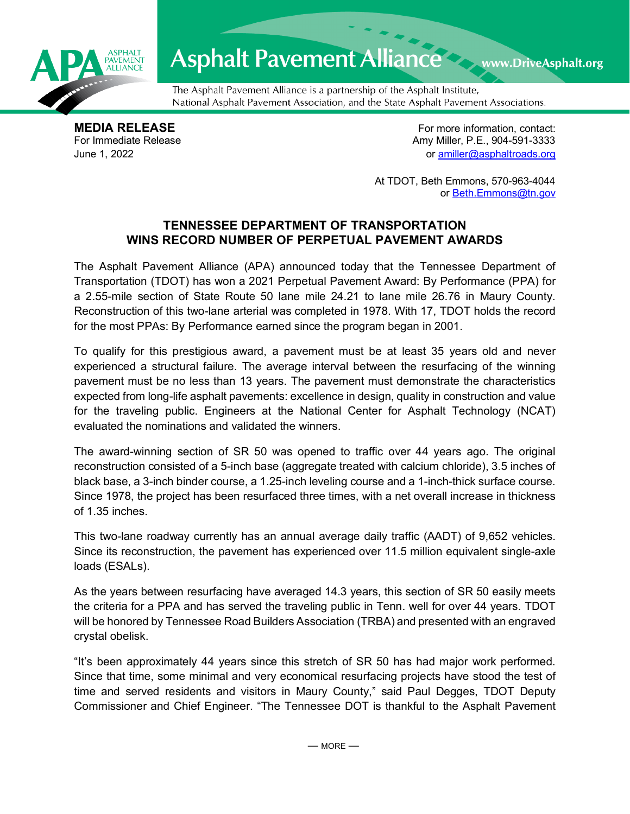

## Asphalt Pavement Alliance Mark DriveAsphalt.org

The Asphalt Pavement Alliance is a partnership of the Asphalt Institute, National Asphalt Pavement Association, and the State Asphalt Pavement Associations.

**MEDIA RELEASE**<br>
For Immediate Release **For more information, contact:**<br>
For Immediate Release **For the Structure of Amy Miller, P.E., 904-591-3333** Amy Miller, P.E., 904-591-3333 June 1, 2022 or [amiller@asphaltroads.org](mailto:amiller@asphaltroads.org)

> At TDOT, Beth Emmons, 570-963-4044 or [Beth.Emmons@tn.gov](mailto:Beth.Emmons@tn.gov)

## **TENNESSEE DEPARTMENT OF TRANSPORTATION WINS RECORD NUMBER OF PERPETUAL PAVEMENT AWARDS**

The Asphalt Pavement Alliance (APA) announced today that the Tennessee Department of Transportation (TDOT) has won a 2021 Perpetual Pavement Award: By Performance (PPA) for a 2.55-mile section of State Route 50 lane mile 24.21 to lane mile 26.76 in Maury County. Reconstruction of this two-lane arterial was completed in 1978. With 17, TDOT holds the record for the most PPAs: By Performance earned since the program began in 2001.

To qualify for this prestigious award, a pavement must be at least 35 years old and never experienced a structural failure. The average interval between the resurfacing of the winning pavement must be no less than 13 years. The pavement must demonstrate the characteristics expected from long-life asphalt pavements: excellence in design, quality in construction and value for the traveling public. Engineers at the National Center for Asphalt Technology (NCAT) evaluated the nominations and validated the winners.

The award-winning section of SR 50 was opened to traffic over 44 years ago. The original reconstruction consisted of a 5-inch base (aggregate treated with calcium chloride), 3.5 inches of black base, a 3-inch binder course, a 1.25-inch leveling course and a 1-inch-thick surface course. Since 1978, the project has been resurfaced three times, with a net overall increase in thickness of 1.35 inches.

This two-lane roadway currently has an annual average daily traffic (AADT) of 9,652 vehicles. Since its reconstruction, the pavement has experienced over 11.5 million equivalent single-axle loads (ESALs).

As the years between resurfacing have averaged 14.3 years, this section of SR 50 easily meets the criteria for a PPA and has served the traveling public in Tenn. well for over 44 years. TDOT will be honored by Tennessee Road Builders Association (TRBA) and presented with an engraved crystal obelisk.

"It's been approximately 44 years since this stretch of SR 50 has had major work performed. Since that time, some minimal and very economical resurfacing projects have stood the test of time and served residents and visitors in Maury County," said Paul Degges, TDOT Deputy Commissioner and Chief Engineer. "The Tennessee DOT is thankful to the Asphalt Pavement